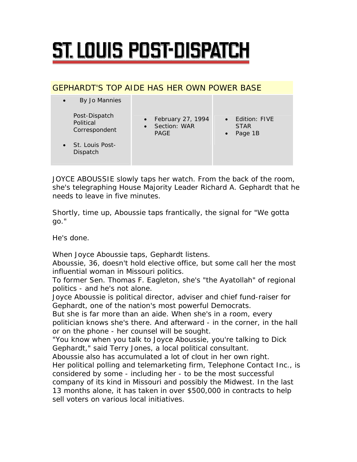## ST. LOUIS POST-DISPATCH

## GEPHARDT'S TOP AIDE HAS HER OWN POWER BASE

| By Jo Mannies<br>$\bullet$                                               |                                                      |                                                        |
|--------------------------------------------------------------------------|------------------------------------------------------|--------------------------------------------------------|
| Post-Dispatch<br>Political<br>Correspondent<br>$\bullet$ St. Louis Post- | • February 27, 1994<br>• Section: WAR<br><b>PAGE</b> | • Edition: FIVE<br><b>STAR</b><br>Page 1B<br>$\bullet$ |
| Dispatch                                                                 |                                                      |                                                        |

JOYCE ABOUSSIE slowly taps her watch. From the back of the room, she's telegraphing House Majority Leader Richard A. Gephardt that he needs to leave in five minutes.

Shortly, time up, Aboussie taps frantically, the signal for "We gotta go."

He's done.

When Joyce Aboussie taps, Gephardt listens.

Aboussie, 36, doesn't hold elective office, but some call her the most influential woman in Missouri politics.

To former Sen. Thomas F. Eagleton, she's "the Ayatollah" of regional politics - and he's not alone.

Joyce Aboussie is political director, adviser and chief fund-raiser for Gephardt, one of the nation's most powerful Democrats.

But she is far more than an aide. When she's in a room, every politician knows she's there. And afterward - in the corner, in the hall or on the phone - her counsel will be sought.

"You know when you talk to Joyce Aboussie, you're talking to Dick Gephardt," said Terry Jones, a local political consultant.

Aboussie also has accumulated a lot of clout in her own right.

Her political polling and telemarketing firm, Telephone Contact Inc., is considered by some - including her - to be the most successful company of its kind in Missouri and possibly the Midwest. In the last 13 months alone, it has taken in over \$500,000 in contracts to help

sell voters on various local initiatives.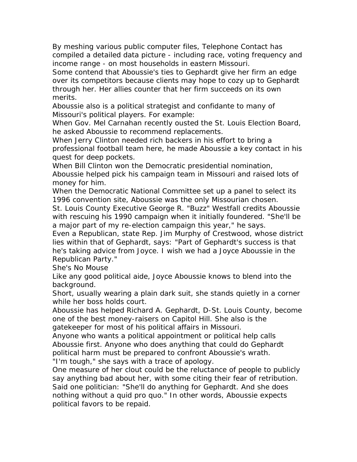By meshing various public computer files, Telephone Contact has compiled a detailed data picture - including race, voting frequency and income range - on most households in eastern Missouri.

Some contend that Aboussie's ties to Gephardt give her firm an edge over its competitors because clients may hope to cozy up to Gephardt through her. Her allies counter that her firm succeeds on its own merits.

Aboussie also is a political strategist and confidante to many of Missouri's political players. For example:

When Gov. Mel Carnahan recently ousted the St. Louis Election Board, he asked Aboussie to recommend replacements.

When Jerry Clinton needed rich backers in his effort to bring a professional football team here, he made Aboussie a key contact in his quest for deep pockets.

When Bill Clinton won the Democratic presidential nomination, Aboussie helped pick his campaign team in Missouri and raised lots of money for him.

When the Democratic National Committee set up a panel to select its 1996 convention site, Aboussie was the only Missourian chosen.

St. Louis County Executive George R. "Buzz" Westfall credits Aboussie with rescuing his 1990 campaign when it initially foundered. "She'll be a major part of my re-election campaign this year," he says.

Even a Republican, state Rep. Jim Murphy of Crestwood, whose district lies within that of Gephardt, says: "Part of Gephardt's success is that he's taking advice from Joyce. I wish we had a Joyce Aboussie in the Republican Party."

She's No Mouse

Like any good political aide, Joyce Aboussie knows to blend into the background.

Short, usually wearing a plain dark suit, she stands quietly in a corner while her boss holds court.

Aboussie has helped Richard A. Gephardt, D-St. Louis County, become one of the best money-raisers on Capitol Hill. She also is the gatekeeper for most of his political affairs in Missouri.

Anyone who wants a political appointment or political help calls Aboussie first. Anyone who does anything that could do Gephardt political harm must be prepared to confront Aboussie's wrath. "I'm tough," she says with a trace of apology.

One measure of her clout could be the reluctance of people to publicly say anything bad about her, with some citing their fear of retribution. Said one politician: "She'll do anything for Gephardt. And she does nothing without a quid pro quo." In other words, Aboussie expects political favors to be repaid.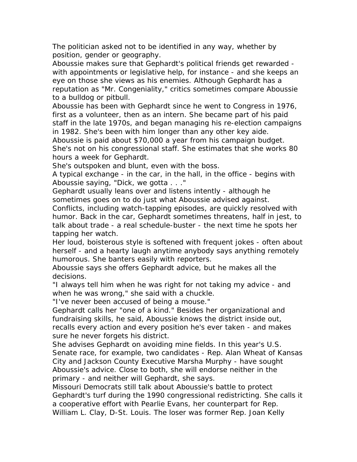The politician asked not to be identified in any way, whether by position, gender or geography.

Aboussie makes sure that Gephardt's political friends get rewarded with appointments or legislative help, for instance - and she keeps an eye on those she views as his enemies. Although Gephardt has a reputation as "Mr. Congeniality," critics sometimes compare Aboussie to a bulldog or pitbull.

Aboussie has been with Gephardt since he went to Congress in 1976, first as a volunteer, then as an intern. She became part of his paid staff in the late 1970s, and began managing his re-election campaigns in 1982. She's been with him longer than any other key aide.

Aboussie is paid about \$70,000 a year from his campaign budget. She's not on his congressional staff. She estimates that she works 80 hours a week for Gephardt.

She's outspoken and blunt, even with the boss.

A typical exchange - in the car, in the hall, in the office - begins with Aboussie saying, "Dick, we gotta . . ."

Gephardt usually leans over and listens intently - although he sometimes goes on to do just what Aboussie advised against. Conflicts, including watch-tapping episodes, are quickly resolved with humor. Back in the car, Gephardt sometimes threatens, half in jest, to talk about trade - a real schedule-buster - the next time he spots her

tapping her watch.

Her loud, boisterous style is softened with frequent jokes - often about herself - and a hearty laugh anytime anybody says anything remotely humorous. She banters easily with reporters.

Aboussie says she offers Gephardt advice, but he makes all the decisions.

"I always tell him when he was right for not taking my advice - and when he was wrong," she said with a chuckle.

"I've never been accused of being a mouse."

Gephardt calls her "one of a kind." Besides her organizational and fundraising skills, he said, Aboussie knows the district inside out, recalls every action and every position he's ever taken - and makes sure he never forgets his district.

She advises Gephardt on avoiding mine fields. In this year's U.S. Senate race, for example, two candidates - Rep. Alan Wheat of Kansas City and Jackson County Executive Marsha Murphy - have sought Aboussie's advice. Close to both, she will endorse neither in the primary - and neither will Gephardt, she says.

Missouri Democrats still talk about Aboussie's battle to protect Gephardt's turf during the 1990 congressional redistricting. She calls it a cooperative effort with Pearlie Evans, her counterpart for Rep. William L. Clay, D-St. Louis. The loser was former Rep. Joan Kelly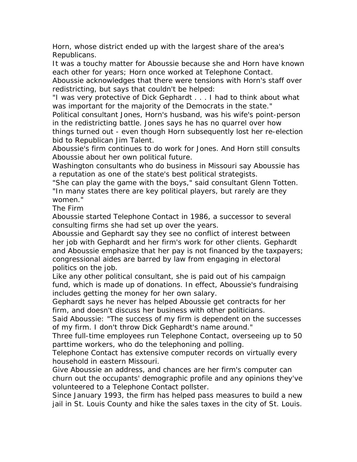Horn, whose district ended up with the largest share of the area's Republicans.

It was a touchy matter for Aboussie because she and Horn have known each other for years; Horn once worked at Telephone Contact.

Aboussie acknowledges that there were tensions with Horn's staff over redistricting, but says that couldn't be helped:

"I was very protective of Dick Gephardt . . . I had to think about what was important for the majority of the Democrats in the state."

Political consultant Jones, Horn's husband, was his wife's point-person in the redistricting battle. Jones says he has no quarrel over how

things turned out - even though Horn subsequently lost her re-election bid to Republican Jim Talent.

Aboussie's firm continues to do work for Jones. And Horn still consults Aboussie about her own political future.

Washington consultants who do business in Missouri say Aboussie has a reputation as one of the state's best political strategists.

"She can play the game with the boys," said consultant Glenn Totten. "In many states there are key political players, but rarely are they women."

The Firm

Aboussie started Telephone Contact in 1986, a successor to several consulting firms she had set up over the years.

Aboussie and Gephardt say they see no conflict of interest between her job with Gephardt and her firm's work for other clients. Gephardt and Aboussie emphasize that her pay is not financed by the taxpayers; congressional aides are barred by law from engaging in electoral politics on the job.

Like any other political consultant, she is paid out of his campaign fund, which is made up of donations. In effect, Aboussie's fundraising includes getting the money for her own salary.

Gephardt says he never has helped Aboussie get contracts for her firm, and doesn't discuss her business with other politicians.

Said Aboussie: "The success of my firm is dependent on the successes of my firm. I don't throw Dick Gephardt's name around."

Three full-time employees run Telephone Contact, overseeing up to 50 parttime workers, who do the telephoning and polling.

Telephone Contact has extensive computer records on virtually every household in eastern Missouri.

Give Aboussie an address, and chances are her firm's computer can churn out the occupants' demographic profile and any opinions they've volunteered to a Telephone Contact pollster.

Since January 1993, the firm has helped pass measures to build a new jail in St. Louis County and hike the sales taxes in the city of St. Louis.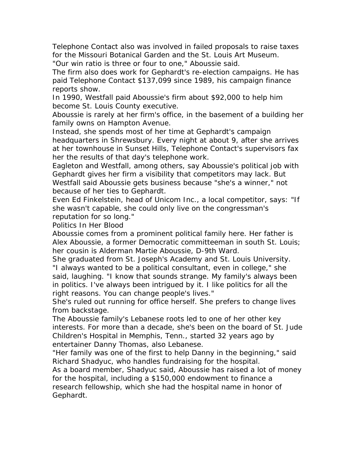Telephone Contact also was involved in failed proposals to raise taxes for the Missouri Botanical Garden and the St. Louis Art Museum. "Our win ratio is three or four to one," Aboussie said.

The firm also does work for Gephardt's re-election campaigns. He has paid Telephone Contact \$137,099 since 1989, his campaign finance reports show.

In 1990, Westfall paid Aboussie's firm about \$92,000 to help him become St. Louis County executive.

Aboussie is rarely at her firm's office, in the basement of a building her family owns on Hampton Avenue.

Instead, she spends most of her time at Gephardt's campaign headquarters in Shrewsbury. Every night at about 9, after she arrives at her townhouse in Sunset Hills, Telephone Contact's supervisors fax her the results of that day's telephone work.

Eagleton and Westfall, among others, say Aboussie's political job with Gephardt gives her firm a visibility that competitors may lack. But Westfall said Aboussie gets business because "she's a winner," not because of her ties to Gephardt.

Even Ed Finkelstein, head of Unicom Inc., a local competitor, says: "If she wasn't capable, she could only live on the congressman's reputation for so long."

Politics In Her Blood

Aboussie comes from a prominent political family here. Her father is Alex Aboussie, a former Democratic committeeman in south St. Louis; her cousin is Alderman Martie Aboussie, D-9th Ward.

She graduated from St. Joseph's Academy and St. Louis University. "I always wanted to be a political consultant, even in college," she said, laughing. "I know that sounds strange. My family's always been in politics. I've always been intrigued by it. I like politics for all the right reasons. You can change people's lives."

She's ruled out running for office herself. She prefers to change lives from backstage.

The Aboussie family's Lebanese roots led to one of her other key interests. For more than a decade, she's been on the board of St. Jude Children's Hospital in Memphis, Tenn., started 32 years ago by entertainer Danny Thomas, also Lebanese.

"Her family was one of the first to help Danny in the beginning," said Richard Shadyuc, who handles fundraising for the hospital.

As a board member, Shadyuc said, Aboussie has raised a lot of money for the hospital, including a \$150,000 endowment to finance a research fellowship, which she had the hospital name in honor of Gephardt.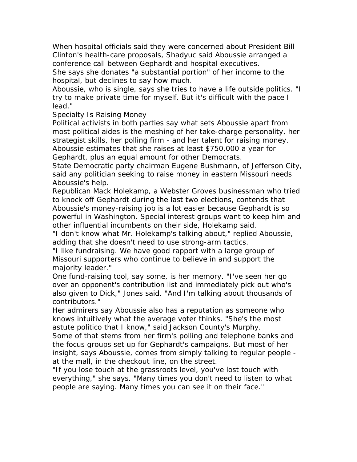When hospital officials said they were concerned about President Bill Clinton's health-care proposals, Shadyuc said Aboussie arranged a conference call between Gephardt and hospital executives.

She says she donates "a substantial portion" of her income to the hospital, but declines to say how much.

Aboussie, who is single, says she tries to have a life outside politics. "I try to make private time for myself. But it's difficult with the pace I lead."

## Specialty Is Raising Money

Political activists in both parties say what sets Aboussie apart from most political aides is the meshing of her take-charge personality, her strategist skills, her polling firm - and her talent for raising money. Aboussie estimates that she raises at least \$750,000 a year for Gephardt, plus an equal amount for other Democrats.

State Democratic party chairman Eugene Bushmann, of Jefferson City, said any politician seeking to raise money in eastern Missouri needs Aboussie's help.

Republican Mack Holekamp, a Webster Groves businessman who tried to knock off Gephardt during the last two elections, contends that Aboussie's money-raising job is a lot easier because Gephardt is so powerful in Washington. Special interest groups want to keep him and other influential incumbents on their side, Holekamp said.

"I don't know what Mr. Holekamp's talking about," replied Aboussie, adding that she doesn't need to use strong-arm tactics.

"I like fundraising. We have good rapport with a large group of Missouri supporters who continue to believe in and support the majority leader."

One fund-raising tool, say some, is her memory. "I've seen her go over an opponent's contribution list and immediately pick out who's also given to Dick," Jones said. "And I'm talking about thousands of contributors."

Her admirers say Aboussie also has a reputation as someone who knows intuitively what the average voter thinks. "She's the most astute politico that I know," said Jackson County's Murphy.

Some of that stems from her firm's polling and telephone banks and the focus groups set up for Gephardt's campaigns. But most of her insight, says Aboussie, comes from simply talking to regular people at the mall, in the checkout line, on the street.

"If you lose touch at the grassroots level, you've lost touch with everything," she says. "Many times you don't need to listen to what people are saying. Many times you can see it on their face."